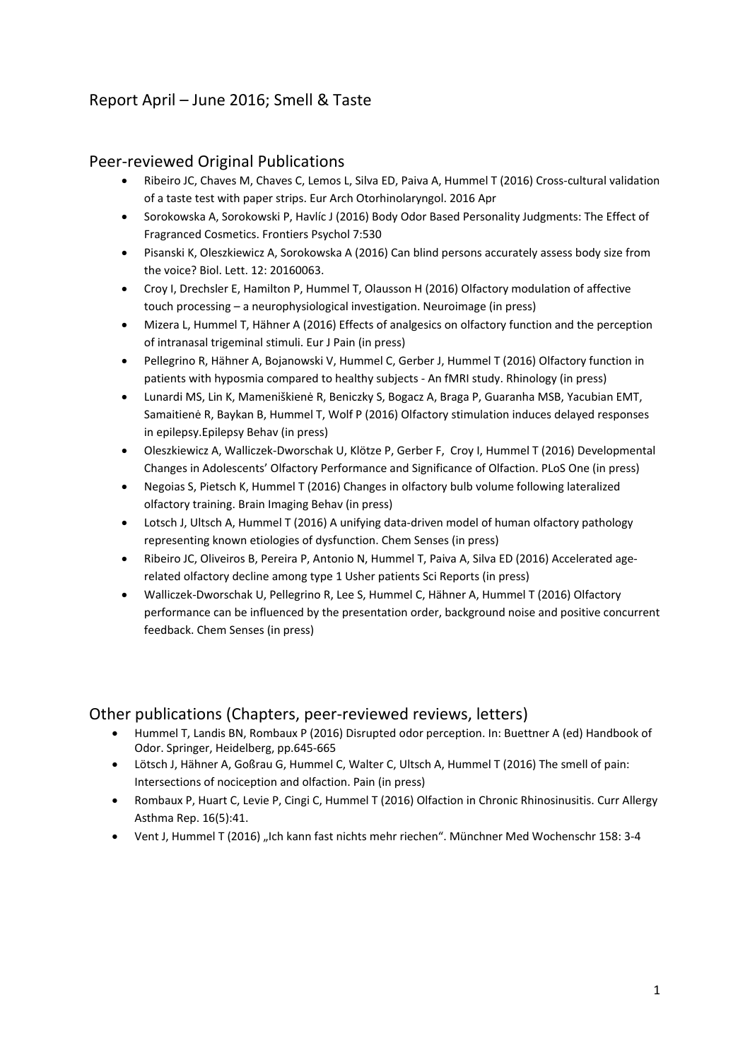## Report April – June 2016; Smell & Taste

#### Peer-reviewed Original Publications

- Ribeiro JC, Chaves M, Chaves C, Lemos L, Silva ED, Paiva A, Hummel T (2016) Cross-cultural validation of a taste test with paper strips. Eur Arch Otorhinolaryngol. 2016 Apr
- Sorokowska A, Sorokowski P, Havlíc J (2016) Body Odor Based Personality Judgments: The Effect of Fragranced Cosmetics. Frontiers Psychol 7:530
- Pisanski K, Oleszkiewicz A, Sorokowska A (2016) Can blind persons accurately assess body size from the voice? Biol. Lett. 12: 20160063.
- Croy I, Drechsler E, Hamilton P, Hummel T, Olausson H (2016) Olfactory modulation of affective touch processing – a neurophysiological investigation. Neuroimage (in press)
- Mizera L, Hummel T, Hähner A (2016) Effects of analgesics on olfactory function and the perception of intranasal trigeminal stimuli. Eur J Pain (in press)
- Pellegrino R, Hähner A, Bojanowski V, Hummel C, Gerber J, Hummel T (2016) Olfactory function in patients with hyposmia compared to healthy subjects - An fMRI study. Rhinology (in press)
- Lunardi MS, Lin K, Mameniškienė R, Beniczky S, Bogacz A, Braga P, Guaranha MSB, Yacubian EMT, Samaitienė R, Baykan B, Hummel T, Wolf P (2016) Olfactory stimulation induces delayed responses in epilepsy.Epilepsy Behav (in press)
- Oleszkiewicz A, Walliczek-Dworschak U, Klötze P, Gerber F, Croy I, Hummel T (2016) Developmental Changes in Adolescents' Olfactory Performance and Significance of Olfaction. PLoS One (in press)
- Negoias S, Pietsch K, Hummel T (2016) Changes in olfactory bulb volume following lateralized olfactory training. Brain Imaging Behav (in press)
- Lotsch J, Ultsch A, Hummel T (2016) A unifying data-driven model of human olfactory pathology representing known etiologies of dysfunction. Chem Senses (in press)
- Ribeiro JC, Oliveiros B, Pereira P, Antonio N, Hummel T, Paiva A, Silva ED (2016) Accelerated agerelated olfactory decline among type 1 Usher patients Sci Reports (in press)
- Walliczek-Dworschak U, Pellegrino R, Lee S, Hummel C, Hähner A, Hummel T (2016) Olfactory performance can be influenced by the presentation order, background noise and positive concurrent feedback. Chem Senses (in press)

#### Other publications (Chapters, peer-reviewed reviews, letters)

- Hummel T, Landis BN, Rombaux P (2016) Disrupted odor perception. In: Buettner A (ed) Handbook of Odor. Springer, Heidelberg, pp.645-665
- Lötsch J, Hähner A, Goßrau G, Hummel C, Walter C, Ultsch A, Hummel T (2016) The smell of pain: Intersections of nociception and olfaction. Pain (in press)
- Rombaux P, Huart C, Levie P, Cingi C, Hummel T (2016) Olfaction in Chronic Rhinosinusitis. Curr Allergy Asthma Rep. 16(5):41.
- Vent J, Hummel T (2016) "Ich kann fast nichts mehr riechen". Münchner Med Wochenschr 158: 3-4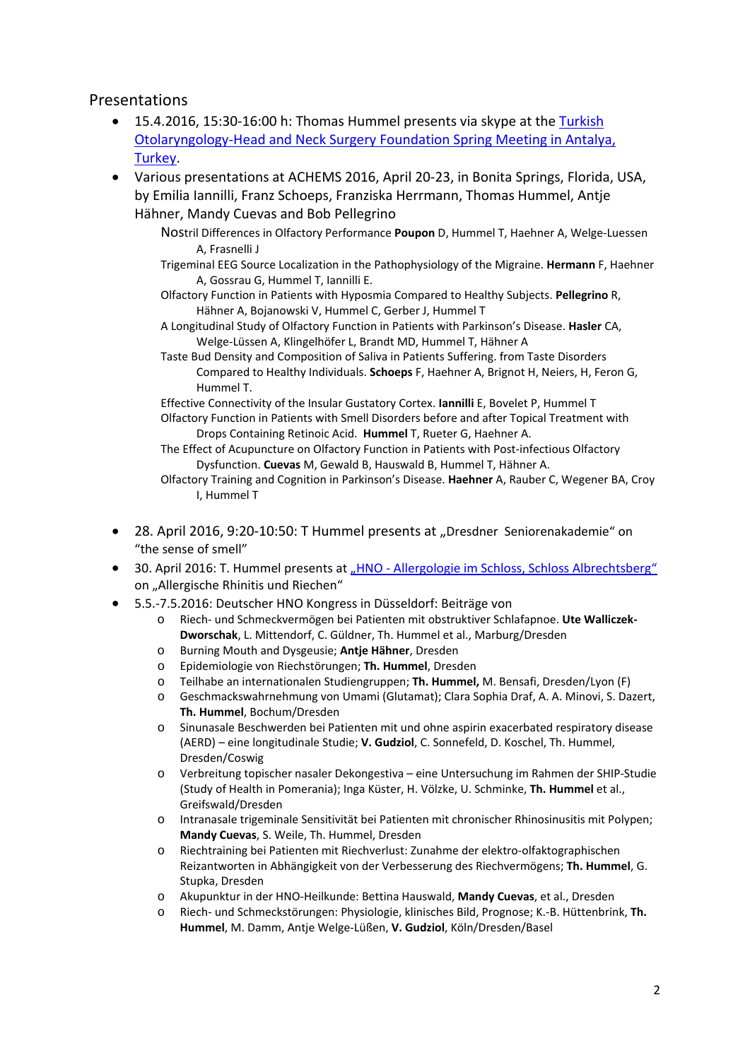#### Presentations

- 15.4.2016, 15:30-16:00 h: Thomas Hummel presents via skype at the [Turkish](http://tkbbvbahar2016.org/eng/)  [Otolaryngology-Head and Neck Surgery Foundation Spring Meeting in Antalya,](http://tkbbvbahar2016.org/eng/)  [Turkey.](http://tkbbvbahar2016.org/eng/)
- Various presentations at ACHEMS 2016, April 20-23, in Bonita Springs, Florida, USA, by Emilia Iannilli, Franz Schoeps, Franziska Herrmann, Thomas Hummel, Antje Hähner, Mandy Cuevas and Bob Pellegrino
	- Nostril Differences in Olfactory Performance **Poupon** D, Hummel T, Haehner A, Welge-Luessen A, Frasnelli J
	- Trigeminal EEG Source Localization in the Pathophysiology of the Migraine. **Hermann** F, Haehner A, Gossrau G, Hummel T, Iannilli E.
	- Olfactory Function in Patients with Hyposmia Compared to Healthy Subjects. **Pellegrino** R, Hähner A, Bojanowski V, Hummel C, Gerber J, Hummel T
	- A Longitudinal Study of Olfactory Function in Patients with Parkinson's Disease. **Hasler** CA, Welge-Lüssen A, Klingelhöfer L, Brandt MD, Hummel T, Hähner A
	- Taste Bud Density and Composition of Saliva in Patients Suffering. from Taste Disorders Compared to Healthy Individuals. **Schoeps** F, Haehner A, Brignot H, Neiers, H, Feron G, Hummel T.

Effective Connectivity of the Insular Gustatory Cortex. **Iannilli** E, Bovelet P, Hummel T

- Olfactory Function in Patients with Smell Disorders before and after Topical Treatment with Drops Containing Retinoic Acid. **Hummel** T, Rueter G, Haehner A.
- The Effect of Acupuncture on Olfactory Function in Patients with Post-infectious Olfactory Dysfunction. **Cuevas** M, Gewald B, Hauswald B, Hummel T, Hähner A.
- Olfactory Training and Cognition in Parkinson's Disease. **Haehner** A, Rauber C, Wegener BA, Croy I, Hummel T
- 28. April 2016, 9:20-10:50: T Hummel presents at "Dresdner Seniorenakademie" on "the sense of smell"
- 30. April 2016: T. Hummel presents at "HNO [Allergologie im Schloss, Schloss Albrechtsberg"](http://www.carus-management.de/live/carus-management.de/content/e225/e1229/e1233/e1514/e1562/Flyer_AIS_Stand09.03.16.pdf) on "Allergische Rhinitis und Riechen"
- 5.5.-7.5.2016: Deutscher HNO Kongress in Düsseldorf: Beiträge von
	- o Riech- und Schmeckvermögen bei Patienten mit obstruktiver Schlafapnoe. **Ute Walliczek-Dworschak**, L. Mittendorf, C. Güldner, Th. Hummel et al., Marburg/Dresden
	- o Burning Mouth and Dysgeusie; **Antje Hähner**, Dresden
	- o Epidemiologie von Riechstörungen; **Th. Hummel**, Dresden
	- o Teilhabe an internationalen Studiengruppen; **Th. Hummel,** M. Bensafi, Dresden/Lyon (F)
	- o Geschmackswahrnehmung von Umami (Glutamat); Clara Sophia Draf, A. A. Minovi, S. Dazert, **Th. Hummel**, Bochum/Dresden
	- o Sinunasale Beschwerden bei Patienten mit und ohne aspirin exacerbated respiratory disease (AERD) – eine longitudinale Studie; **V. Gudziol**, C. Sonnefeld, D. Koschel, Th. Hummel, Dresden/Coswig
	- o Verbreitung topischer nasaler Dekongestiva eine Untersuchung im Rahmen der SHIP-Studie (Study of Health in Pomerania); Inga Küster, H. Völzke, U. Schminke, **Th. Hummel** et al., Greifswald/Dresden
	- o Intranasale trigeminale Sensitivität bei Patienten mit chronischer Rhinosinusitis mit Polypen; **Mandy Cuevas**, S. Weile, Th. Hummel, Dresden
	- o Riechtraining bei Patienten mit Riechverlust: Zunahme der elektro-olfaktographischen Reizantworten in Abhängigkeit von der Verbesserung des Riechvermögens; **Th. Hummel**, G. Stupka, Dresden
	- o Akupunktur in der HNO-Heilkunde: Bettina Hauswald, **Mandy Cuevas**, et al., Dresden
	- o Riech- und Schmeckstörungen: Physiologie, klinisches Bild, Prognose; K.-B. Hüttenbrink, **Th. Hummel**, M. Damm, Antje Welge-Lüßen, **V. Gudziol**, Köln/Dresden/Basel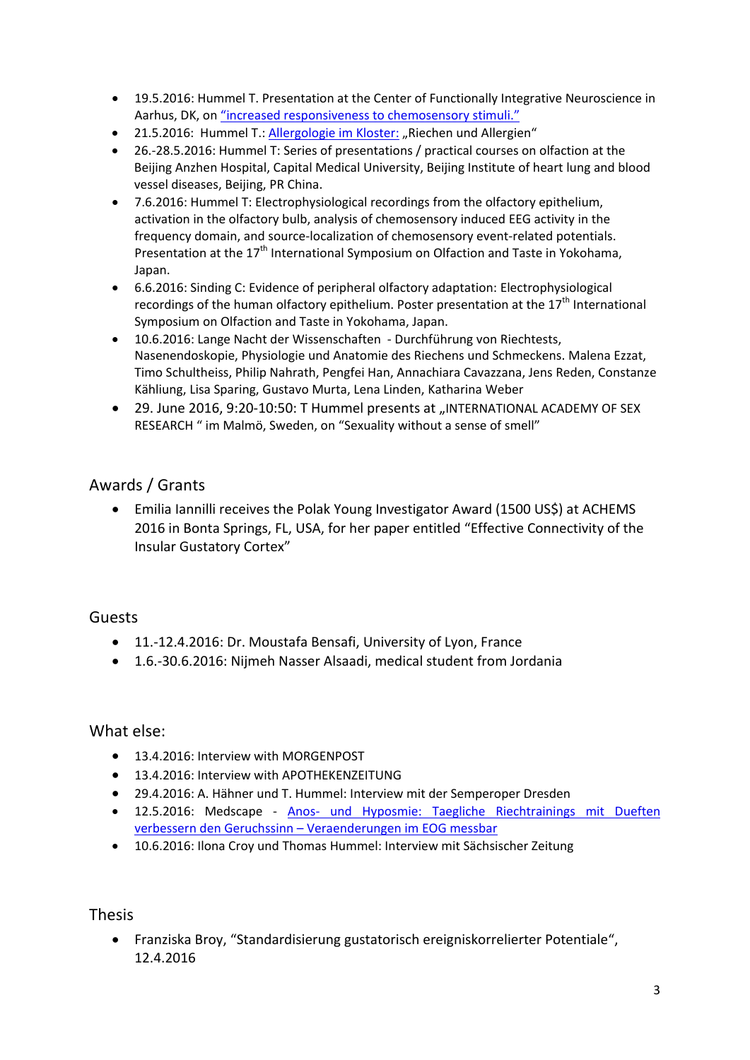- 19.5.2016: Hummel T. Presentation at the Center of Functionally Integrative Neuroscience in Aarhus, DK, on ["increased responsiveness to chemosensory stimuli."](http://cfin.au.dk/news-events/past-events/#news-8051)
- 21.5.2016: Hummel T.: [Allergologie](https://www.allergologie-im-kloster.org/programm/) im Kloster: "Riechen und Allergien"
- 26.-28.5.2016: Hummel T: Series of presentations / practical courses on olfaction at the Beijing Anzhen Hospital, Capital Medical University, Beijing Institute of heart lung and blood vessel diseases, Beijing, PR China.
- 7.6.2016: Hummel T: Electrophysiological recordings from the olfactory epithelium, activation in the olfactory bulb, analysis of chemosensory induced EEG activity in the frequency domain, and source-localization of chemosensory event-related potentials. Presentation at the  $17<sup>th</sup>$  International Symposium on Olfaction and Taste in Yokohama, Japan.
- 6.6.2016: Sinding C: Evidence of peripheral olfactory adaptation: Electrophysiological recordings of the human olfactory epithelium. Poster presentation at the 17<sup>th</sup> International Symposium on Olfaction and Taste in Yokohama, Japan.
- 10.6.2016: Lange Nacht der Wissenschaften Durchführung von Riechtests, Nasenendoskopie, Physiologie und Anatomie des Riechens und Schmeckens. Malena Ezzat, Timo Schultheiss, Philip Nahrath, Pengfei Han, Annachiara Cavazzana, Jens Reden, Constanze Kähliung, Lisa Sparing, Gustavo Murta, Lena Linden, Katharina Weber
- 29. June 2016, 9:20-10:50: T Hummel presents at "INTERNATIONAL ACADEMY OF SEX RESEARCH " im Malmö, Sweden, on "Sexuality without a sense of smell"

### Awards / Grants

• Emilia Iannilli receives the Polak Young Investigator Award (1500 US\$) at ACHEMS 2016 in Bonta Springs, FL, USA, for her paper entitled "Effective Connectivity of the Insular Gustatory Cortex"

#### Guests

- 11.-12.4.2016: Dr. Moustafa Bensafi, University of Lyon, France
- 1.6.-30.6.2016: Nijmeh Nasser Alsaadi, medical student from Jordania

#### What else:

- 13.4.2016: Interview with MORGENPOST
- 13.4.2016: Interview with APOTHEKENZEITUNG
- 29.4.2016: A. Hähner und T. Hummel: Interview mit der Semperoper Dresden
- 12.5.2016: Medscape Anos- [und Hyposmie: Taegliche Riechtrainings mit Dueften](https://login.medscape.com/login/de/sso/getlogin?urlCache=aHR0cDovL2RldXRzY2gubWVkc2NhcGUuY29tL2FydGlrZWxhbnNpY2h0LzQ5MDQ4NzU/c3JjPWVtYWlsdGhpcw==&ac=401)  verbessern den Geruchssinn – [Veraenderungen im EOG messbar](https://login.medscape.com/login/de/sso/getlogin?urlCache=aHR0cDovL2RldXRzY2gubWVkc2NhcGUuY29tL2FydGlrZWxhbnNpY2h0LzQ5MDQ4NzU/c3JjPWVtYWlsdGhpcw==&ac=401)
- 10.6.2016: Ilona Croy und Thomas Hummel: Interview mit Sächsischer Zeitung

Thesis

• Franziska Broy, "Standardisierung gustatorisch ereigniskorrelierter Potentiale", 12.4.2016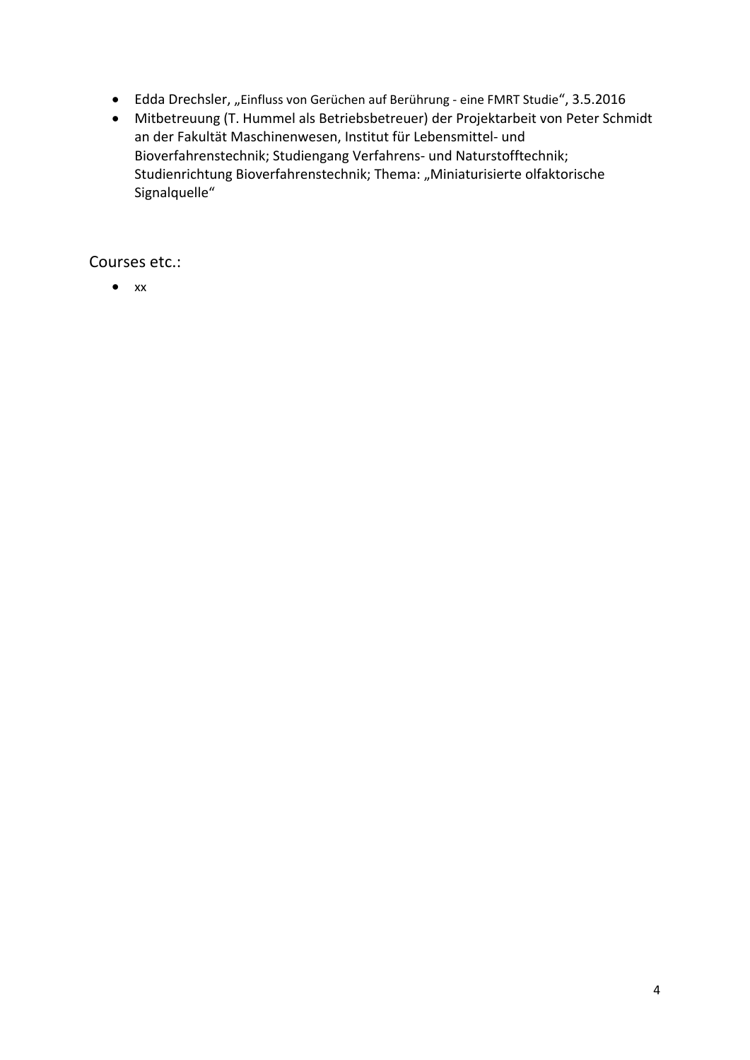- Edda Drechsler, "Einfluss von Gerüchen auf Berührung eine FMRT Studie", 3.5.2016
- Mitbetreuung (T. Hummel als Betriebsbetreuer) der Projektarbeit von Peter Schmidt an der Fakultät Maschinenwesen, Institut für Lebensmittel- und Bioverfahrenstechnik; Studiengang Verfahrens- und Naturstofftechnik; Studienrichtung Bioverfahrenstechnik; Thema: "Miniaturisierte olfaktorische Signalquelle"

Courses etc.:

 $\bullet$  xx